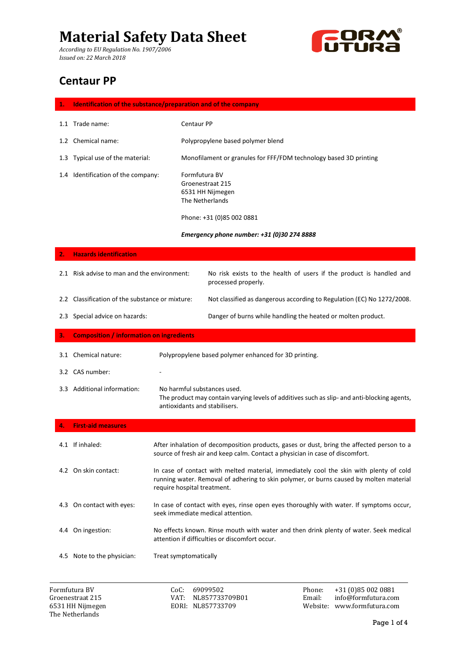*According to EU Regulation No. 1907/2006 Issued on: 22 March 2018*



### **Centaur PP**

| 1.            | Identification of the substance/preparation and of the company |                                                                   |                                                                                                                 |
|---------------|----------------------------------------------------------------|-------------------------------------------------------------------|-----------------------------------------------------------------------------------------------------------------|
|               | 1.1 Trade name:                                                | Centaur PP                                                        |                                                                                                                 |
|               | 1.2 Chemical name:                                             |                                                                   | Polypropylene based polymer blend                                                                               |
| 1.3           | Typical use of the material:                                   | Monofilament or granules for FFF/FDM technology based 3D printing |                                                                                                                 |
| $1.4^{\circ}$ | Identification of the company:                                 | Formfutura BV<br>The Netherlands                                  | Groenestraat 215<br>6531 HH Nijmegen<br>Phone: +31 (0)85 002 0881<br>Emergency phone number: +31 (0)30 274 8888 |
| 2.            | <b>Hazards identification</b>                                  |                                                                   |                                                                                                                 |
|               | 2.1 Risk advise to man and the environment:                    |                                                                   | No risk exists to the health of users if the product is handled and<br>processed properly.                      |
|               | 2.2 Classification of the substance or mixture:                |                                                                   | Not classified as dangerous according to Regulation (EC) No 1272/2008.                                          |
|               | 2.3 Special advice on hazards:                                 |                                                                   | Danger of burns while handling the heated or molten product.                                                    |

**3. Composition / information on ingredients**

|     | 3.1 Chemical nature:    | Polypropylene based polymer enhanced for 3D printing.                                                                                                       |
|-----|-------------------------|-------------------------------------------------------------------------------------------------------------------------------------------------------------|
|     | 3.2 CAS number:         | -                                                                                                                                                           |
| 3.3 | Additional information: | No harmful substances used.<br>The product may contain varying levels of additives such as slip- and anti-blocking agents,<br>antioxidants and stabilisers. |

|     | 4. First-aid measures      |                                                                                                                                                                                                                 |
|-----|----------------------------|-----------------------------------------------------------------------------------------------------------------------------------------------------------------------------------------------------------------|
|     | 4.1 If inhaled:            | After inhalation of decomposition products, gases or dust, bring the affected person to a<br>source of fresh air and keep calm. Contact a physician in case of discomfort.                                      |
|     | 4.2 On skin contact:       | In case of contact with melted material, immediately cool the skin with plenty of cold<br>running water. Removal of adhering to skin polymer, or burns caused by molten material<br>require hospital treatment. |
|     | 4.3 On contact with eyes:  | In case of contact with eyes, rinse open eyes thoroughly with water. If symptoms occur,<br>seek immediate medical attention.                                                                                    |
| 4.4 | On ingestion:              | No effects known. Rinse mouth with water and then drink plenty of water. Seek medical<br>attention if difficulties or discomfort occur.                                                                         |
|     | 4.5 Note to the physician: | Treat symptomatically                                                                                                                                                                                           |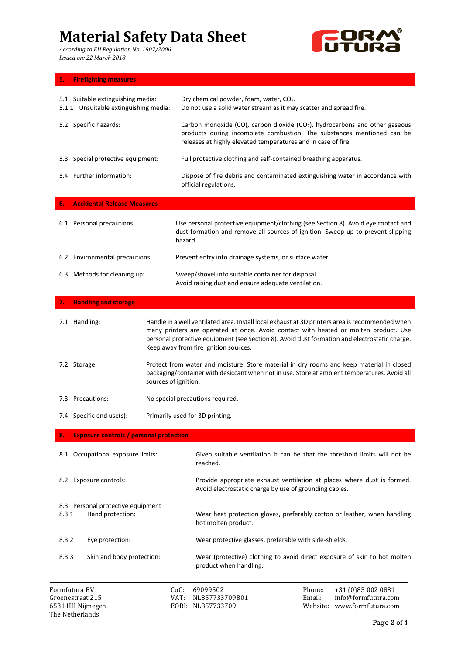*According to EU Regulation No. 1907/2006 Issued on: 22 March 2018*



### **5. Firefighting measures**

The Netherlands

| 5.1 Suitable extinguishing media:<br>5.1.1 Unsuitable extinguishing media: |                      | Dry chemical powder, foam, water, CO2.<br>Do not use a solid water stream as it may scatter and spread fire.                                                                                                                                                                                                                      |  |
|----------------------------------------------------------------------------|----------------------|-----------------------------------------------------------------------------------------------------------------------------------------------------------------------------------------------------------------------------------------------------------------------------------------------------------------------------------|--|
| 5.2 Specific hazards:                                                      |                      | Carbon monoxide (CO), carbon dioxide (CO <sub>2</sub> ), hydrocarbons and other gaseous<br>products during incomplete combustion. The substances mentioned can be<br>releases at highly elevated temperatures and in case of fire.                                                                                                |  |
| 5.3 Special protective equipment:                                          |                      | Full protective clothing and self-contained breathing apparatus.                                                                                                                                                                                                                                                                  |  |
| 5.4 Further information:                                                   |                      | Dispose of fire debris and contaminated extinguishing water in accordance with<br>official regulations.                                                                                                                                                                                                                           |  |
| <b>Accidental Release Measures</b><br>6.                                   |                      |                                                                                                                                                                                                                                                                                                                                   |  |
| 6.1 Personal precautions:                                                  |                      | Use personal protective equipment/clothing (see Section 8). Avoid eye contact and<br>dust formation and remove all sources of ignition. Sweep up to prevent slipping<br>hazard.                                                                                                                                                   |  |
| 6.2 Environmental precautions:                                             |                      | Prevent entry into drainage systems, or surface water.                                                                                                                                                                                                                                                                            |  |
| 6.3 Methods for cleaning up:                                               |                      | Sweep/shovel into suitable container for disposal.<br>Avoid raising dust and ensure adequate ventilation.                                                                                                                                                                                                                         |  |
| <b>Handling and storage</b><br>7.                                          |                      |                                                                                                                                                                                                                                                                                                                                   |  |
| 7.1 Handling:                                                              |                      | Handle in a well ventilated area. Install local exhaust at 3D printers area is recommended when<br>many printers are operated at once. Avoid contact with heated or molten product. Use<br>personal protective equipment (see Section 8). Avoid dust formation and electrostatic charge.<br>Keep away from fire ignition sources. |  |
| 7.2 Storage:                                                               | sources of ignition. | Protect from water and moisture. Store material in dry rooms and keep material in closed<br>packaging/container with desiccant when not in use. Store at ambient temperatures. Avoid all                                                                                                                                          |  |
| 7.3 Precautions:                                                           |                      | No special precautions required.                                                                                                                                                                                                                                                                                                  |  |
| 7.4 Specific end use(s):                                                   |                      | Primarily used for 3D printing.                                                                                                                                                                                                                                                                                                   |  |
| <b>Exposure controls / personal protection</b>                             |                      |                                                                                                                                                                                                                                                                                                                                   |  |
| 8.1 Occupational exposure limits:                                          |                      | Given suitable ventilation it can be that the threshold limits will not be<br>reached.                                                                                                                                                                                                                                            |  |
| 8.2 Exposure controls:                                                     |                      | Provide appropriate exhaust ventilation at places where dust is formed.<br>Avoid electrostatic charge by use of grounding cables.                                                                                                                                                                                                 |  |
| 8.3 Personal protective equipment<br>8.3.1<br>Hand protection:             |                      | Wear heat protection gloves, preferably cotton or leather, when handling<br>hot molten product.                                                                                                                                                                                                                                   |  |
| 8.3.2<br>Eye protection:                                                   |                      | Wear protective glasses, preferable with side-shields.                                                                                                                                                                                                                                                                            |  |
| 8.3.3<br>Skin and body protection:                                         |                      | Wear (protective) clothing to avoid direct exposure of skin to hot molten<br>product when handling.                                                                                                                                                                                                                               |  |
| Formfutura BV<br>Groenestraat 215<br>6531 HH Nijmegen                      |                      | CoC:<br>69099502<br>+31 (0)85 002 0881<br>Phone:<br>info@formfutura.com<br>VAT:<br>Email:<br>NL857733709B01<br>EORI: NL857733709<br>Website: www.formfutura.com                                                                                                                                                                   |  |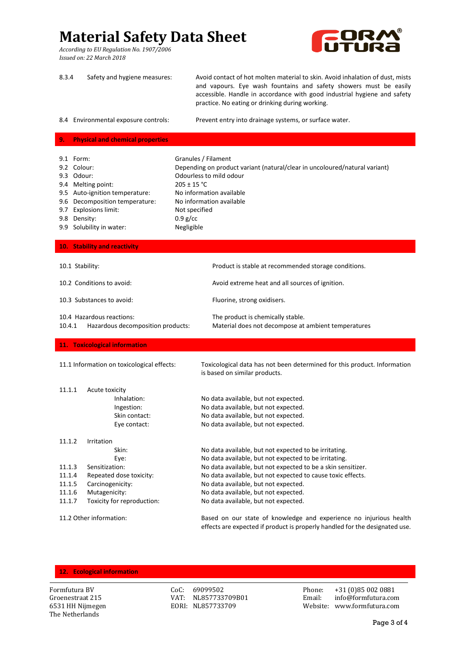*According to EU Regulation No. 1907/2006 Issued on: 22 March 2018*



| 8.3.4                                                                                                                                                                                                                             | Safety and hygiene measures:                                                 | Avoid contact of hot molten material to skin. Avoid inhalation of dust, mists<br>and vapours. Eye wash fountains and safety showers must be easily<br>accessible. Handle in accordance with good industrial hygiene and safety<br>practice. No eating or drinking during working. |  |
|-----------------------------------------------------------------------------------------------------------------------------------------------------------------------------------------------------------------------------------|------------------------------------------------------------------------------|-----------------------------------------------------------------------------------------------------------------------------------------------------------------------------------------------------------------------------------------------------------------------------------|--|
|                                                                                                                                                                                                                                   | 8.4 Environmental exposure controls:                                         | Prevent entry into drainage systems, or surface water.                                                                                                                                                                                                                            |  |
| 9.                                                                                                                                                                                                                                | <b>Physical and chemical properties</b>                                      |                                                                                                                                                                                                                                                                                   |  |
| 9.1 Form:<br>9.2 Colour:<br>9.3 Odour:<br>9.4 Melting point:<br>9.5 Auto-ignition temperature:<br>9.6 Decomposition temperature:<br>9.7 Explosions limit:<br>9.8 Density:<br>$0.9$ g/cc<br>9.9 Solubility in water:<br>Negligible |                                                                              | Granules / Filament<br>Depending on product variant (natural/clear in uncoloured/natural variant)<br>Odourless to mild odour<br>$205 \pm 15$ °C<br>No information available<br>No information available<br>Not specified                                                          |  |
| 10. Stability and reactivity                                                                                                                                                                                                      |                                                                              |                                                                                                                                                                                                                                                                                   |  |
| 10.1 Stability:                                                                                                                                                                                                                   |                                                                              | Product is stable at recommended storage conditions.                                                                                                                                                                                                                              |  |
| 10.2 Conditions to avoid:                                                                                                                                                                                                         |                                                                              | Avoid extreme heat and all sources of ignition.                                                                                                                                                                                                                                   |  |
| 10.3 Substances to avoid:                                                                                                                                                                                                         |                                                                              | Fluorine, strong oxidisers.                                                                                                                                                                                                                                                       |  |
| 10.4 Hazardous reactions:<br>10.4.1<br>Hazardous decomposition products:                                                                                                                                                          |                                                                              | The product is chemically stable.<br>Material does not decompose at ambient temperatures                                                                                                                                                                                          |  |
|                                                                                                                                                                                                                                   | 11. Toxicological information                                                |                                                                                                                                                                                                                                                                                   |  |
|                                                                                                                                                                                                                                   | 11.1 Information on toxicological effects:                                   | Toxicological data has not been determined for this product. Information<br>is based on similar products.                                                                                                                                                                         |  |
| 11.1.1                                                                                                                                                                                                                            | Acute toxicity<br>Inhalation:<br>Ingestion:<br>Skin contact:<br>Eye contact: | No data available, but not expected.<br>No data available, but not expected.<br>No data available, but not expected.<br>No data available, but not expected.                                                                                                                      |  |
| 11.1.2                                                                                                                                                                                                                            | Irritation<br>Skin:<br>Eye:                                                  | No data available, but not expected to be irritating.<br>No data available, but not expected to be irritating.                                                                                                                                                                    |  |
| 11.1.3                                                                                                                                                                                                                            | Sensitization:                                                               | No data available, but not expected to be a skin sensitizer.                                                                                                                                                                                                                      |  |
| 11.1.4                                                                                                                                                                                                                            | Repeated dose toxicity:                                                      | No data available, but not expected to cause toxic effects.                                                                                                                                                                                                                       |  |
| 11.1.5<br>11.1.6                                                                                                                                                                                                                  | Carcinogenicity:<br>Mutagenicity:                                            | No data available, but not expected.<br>No data available, but not expected.                                                                                                                                                                                                      |  |
| 11.1.7                                                                                                                                                                                                                            | Toxicity for reproduction:                                                   | No data available, but not expected.                                                                                                                                                                                                                                              |  |
| 11.2 Other information:                                                                                                                                                                                                           |                                                                              | Based on our state of knowledge and experience no injurious health<br>effects are expected if product is properly handled for the designated use.                                                                                                                                 |  |

#### **12. Ecological information**

The Netherlands

VAT: NL857733709B01

Formfutura BV CoC: 69099502 Phone: +31 (0)85 002 0881 6531 HH Nijmegen EORI: NL857733709 Website: www.formfutura.com